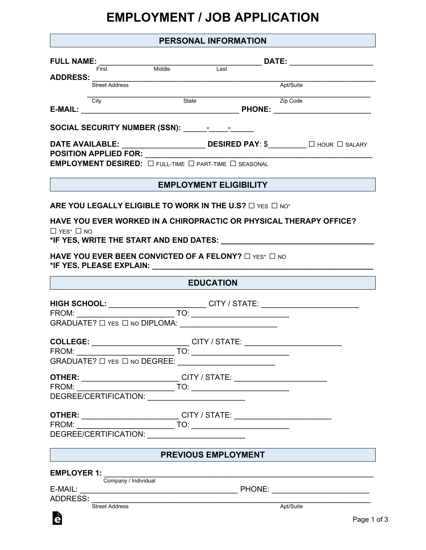## **EMPLOYMENT / JOB APPLICATION**

|                                                                              | PERSONAL INFORMATION                                                                                                                                                                                                                                                                                                                                                                                                                                                                                                                                                                                                                     |  |
|------------------------------------------------------------------------------|------------------------------------------------------------------------------------------------------------------------------------------------------------------------------------------------------------------------------------------------------------------------------------------------------------------------------------------------------------------------------------------------------------------------------------------------------------------------------------------------------------------------------------------------------------------------------------------------------------------------------------------|--|
|                                                                              | $\noindent{\bf FULL NAME: \underline{\hspace{1cm}} \underline{\hspace{1cm}} \underline{\hspace{1cm}} \underline{\hspace{1cm}} \underline{\hspace{1cm}} \underline{\hspace{1cm}} \underline{\hspace{1cm}} \underline{\hspace{1cm}} \underline{\hspace{1cm}} \underline{\hspace{1cm}} \underline{\hspace{1cm}} \underline{\hspace{1cm}} \underline{\hspace{1cm}} \underline{\hspace{1cm}} \underline{\hspace{1cm}} \underline{\hspace{1cm}} \underline{\hspace{1cm}} \underline{\hspace{1cm}} \underline{\hspace{1cm}} \underline{\hspace{1cm}} \underline{\hspace{1cm}} \underline{\hspace{1cm}} \underline{\hspace{1cm}} \underline{\hs$ |  |
| First                                                                        | <b>ADDRESS:</b><br>Street Address<br>Apt/Suite                                                                                                                                                                                                                                                                                                                                                                                                                                                                                                                                                                                           |  |
|                                                                              |                                                                                                                                                                                                                                                                                                                                                                                                                                                                                                                                                                                                                                          |  |
| City                                                                         | <u> Zip Code</u><br>Expediant Communication of the Code<br>State                                                                                                                                                                                                                                                                                                                                                                                                                                                                                                                                                                         |  |
|                                                                              |                                                                                                                                                                                                                                                                                                                                                                                                                                                                                                                                                                                                                                          |  |
| <b>POSITION APPLIED FOR:</b>                                                 | DATE AVAILABLE: $\begin{picture}(180,10) \put(0,0){\line(1,0){155}} \put(1,0){\line(1,0){155}} \put(1,0){\line(1,0){155}} \put(1,0){\line(1,0){155}} \put(1,0){\line(1,0){155}} \put(1,0){\line(1,0){155}} \put(1,0){\line(1,0){155}} \put(1,0){\line(1,0){155}} \put(1,0){\line(1,0){155}} \put(1,0){\line(1,0){155}} \put(1,0){\line(1,$<br><u> 1989 - Johann Barbara, martxa alemani</u> ar a                                                                                                                                                                                                                                         |  |
| <b>EMPLOYMENT DESIRED:</b> $\Box$ full-time $\Box$ part-time $\Box$ seasonal |                                                                                                                                                                                                                                                                                                                                                                                                                                                                                                                                                                                                                                          |  |
|                                                                              | <b>EMPLOYMENT ELIGIBILITY</b>                                                                                                                                                                                                                                                                                                                                                                                                                                                                                                                                                                                                            |  |
|                                                                              | ARE YOU LEGALLY ELIGIBLE TO WORK IN THE U.S? $\Box$ YES $\Box$ NO*                                                                                                                                                                                                                                                                                                                                                                                                                                                                                                                                                                       |  |
|                                                                              | HAVE YOU EVER WORKED IN A CHIROPRACTIC OR PHYSICAL THERAPY OFFICE?                                                                                                                                                                                                                                                                                                                                                                                                                                                                                                                                                                       |  |
| $\Box$ YES* $\Box$ NO                                                        | *IF YES, WRITE THE START AND END DATES: Network and the state of the state of the state of the state of the st                                                                                                                                                                                                                                                                                                                                                                                                                                                                                                                           |  |
| HAVE YOU EVER BEEN CONVICTED OF A FELONY? $\Box$ YES* $\Box$ NO              |                                                                                                                                                                                                                                                                                                                                                                                                                                                                                                                                                                                                                                          |  |
|                                                                              |                                                                                                                                                                                                                                                                                                                                                                                                                                                                                                                                                                                                                                          |  |
|                                                                              | <b>EDUCATION</b>                                                                                                                                                                                                                                                                                                                                                                                                                                                                                                                                                                                                                         |  |
|                                                                              |                                                                                                                                                                                                                                                                                                                                                                                                                                                                                                                                                                                                                                          |  |
|                                                                              |                                                                                                                                                                                                                                                                                                                                                                                                                                                                                                                                                                                                                                          |  |
|                                                                              |                                                                                                                                                                                                                                                                                                                                                                                                                                                                                                                                                                                                                                          |  |
|                                                                              | COLLEGE: ______________________________CITY / STATE: ___________________________                                                                                                                                                                                                                                                                                                                                                                                                                                                                                                                                                         |  |
| GRADUATE? □ YES □ NO DEGREE: __________________________                      |                                                                                                                                                                                                                                                                                                                                                                                                                                                                                                                                                                                                                                          |  |
|                                                                              |                                                                                                                                                                                                                                                                                                                                                                                                                                                                                                                                                                                                                                          |  |
|                                                                              | <b>OTHER:</b> ______________________________CITY / STATE: ___________________________                                                                                                                                                                                                                                                                                                                                                                                                                                                                                                                                                    |  |
| DEGREE/CERTIFICATION: _________________________                              |                                                                                                                                                                                                                                                                                                                                                                                                                                                                                                                                                                                                                                          |  |
|                                                                              | <b>OTHER:</b> ____________________________CITY / STATE: ______________________________                                                                                                                                                                                                                                                                                                                                                                                                                                                                                                                                                   |  |
|                                                                              |                                                                                                                                                                                                                                                                                                                                                                                                                                                                                                                                                                                                                                          |  |
| DEGREE/CERTIFICATION: ________________________                               |                                                                                                                                                                                                                                                                                                                                                                                                                                                                                                                                                                                                                                          |  |
|                                                                              | PREVIOUS EMPLOYMENT                                                                                                                                                                                                                                                                                                                                                                                                                                                                                                                                                                                                                      |  |
| <b>EMPLOYER 1:</b>                                                           |                                                                                                                                                                                                                                                                                                                                                                                                                                                                                                                                                                                                                                          |  |
|                                                                              | Company / Individual<br>Company / Individual                                                                                                                                                                                                                                                                                                                                                                                                                                                                                                                                                                                             |  |
| ADDRESS:                                                                     | <u> 1980 - Johann Stoff, deutscher Stoff, der Stoff, der Stoff, der Stoff, der Stoff, der Stoff, der Stoff, der S</u>                                                                                                                                                                                                                                                                                                                                                                                                                                                                                                                    |  |
| <b>Street Address</b>                                                        | Apt/Suite                                                                                                                                                                                                                                                                                                                                                                                                                                                                                                                                                                                                                                |  |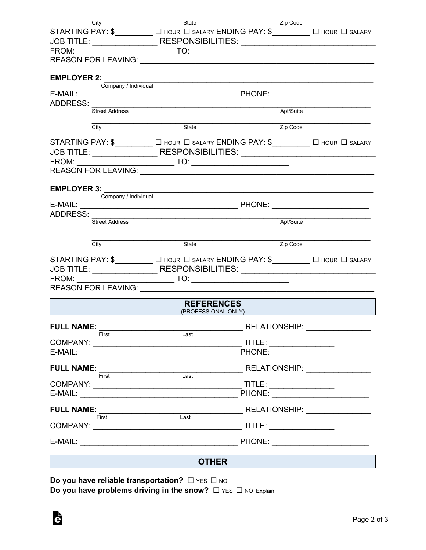| City                                                                                          | State                                    | Zip Code                                                                                                                                                                                                                                                                                                                                                                                                                    |                                   |
|-----------------------------------------------------------------------------------------------|------------------------------------------|-----------------------------------------------------------------------------------------------------------------------------------------------------------------------------------------------------------------------------------------------------------------------------------------------------------------------------------------------------------------------------------------------------------------------------|-----------------------------------|
| STARTING PAY: \$__________ [ HOUR   SALARY ENDING PAY: \$________ [ HOUR   SALARY             |                                          |                                                                                                                                                                                                                                                                                                                                                                                                                             |                                   |
| JOB TITLE: ____________________RESPONSIBILITIES: _______________________________              |                                          |                                                                                                                                                                                                                                                                                                                                                                                                                             |                                   |
|                                                                                               |                                          |                                                                                                                                                                                                                                                                                                                                                                                                                             |                                   |
| REASON FOR LEAVING: VALUE AND A CONTROL AND THE REASON FOR LEAVING:                           |                                          |                                                                                                                                                                                                                                                                                                                                                                                                                             |                                   |
| <b>EMPLOYER 2:</b><br>Company / Individual                                                    |                                          |                                                                                                                                                                                                                                                                                                                                                                                                                             |                                   |
|                                                                                               |                                          |                                                                                                                                                                                                                                                                                                                                                                                                                             |                                   |
| ADDRESS:                                                                                      |                                          |                                                                                                                                                                                                                                                                                                                                                                                                                             |                                   |
| Street Address                                                                                |                                          | Apt/Suite                                                                                                                                                                                                                                                                                                                                                                                                                   |                                   |
| City                                                                                          | State                                    | Zip Code                                                                                                                                                                                                                                                                                                                                                                                                                    |                                   |
| STARTING PAY: \$____________ [ ] HOUR [ ] SALARY ENDING PAY: \$__________ [ ] HOUR [ ] SALARY |                                          |                                                                                                                                                                                                                                                                                                                                                                                                                             |                                   |
| JOB TITLE: _______________________RESPONSIBILITIES: ____________________________              |                                          |                                                                                                                                                                                                                                                                                                                                                                                                                             |                                   |
|                                                                                               |                                          |                                                                                                                                                                                                                                                                                                                                                                                                                             |                                   |
| <b>REASON FOR LEAVING:</b>                                                                    |                                          |                                                                                                                                                                                                                                                                                                                                                                                                                             |                                   |
| <b>EMPLOYER 3:</b>                                                                            |                                          |                                                                                                                                                                                                                                                                                                                                                                                                                             |                                   |
| Company / Individual                                                                          |                                          |                                                                                                                                                                                                                                                                                                                                                                                                                             |                                   |
| ADDRESS:                                                                                      |                                          |                                                                                                                                                                                                                                                                                                                                                                                                                             |                                   |
| Street Address                                                                                |                                          | Apt/Suite                                                                                                                                                                                                                                                                                                                                                                                                                   |                                   |
| City                                                                                          | State                                    | Zip Code                                                                                                                                                                                                                                                                                                                                                                                                                    |                                   |
|                                                                                               |                                          |                                                                                                                                                                                                                                                                                                                                                                                                                             |                                   |
| STARTING PAY: \$____________ [ ] HOUR [ ] SALARY ENDING PAY: \$__________ [ ] HOUR [ ] SALARY |                                          |                                                                                                                                                                                                                                                                                                                                                                                                                             |                                   |
| JOB TITLE: ______________________RESPONSIBILITIES: _____________________________              |                                          |                                                                                                                                                                                                                                                                                                                                                                                                                             |                                   |
| FROM:<br><b>REASON FOR LEAVING:</b>                                                           |                                          |                                                                                                                                                                                                                                                                                                                                                                                                                             |                                   |
|                                                                                               |                                          |                                                                                                                                                                                                                                                                                                                                                                                                                             |                                   |
|                                                                                               | <b>REFERENCES</b><br>(PROFESSIONAL ONLY) |                                                                                                                                                                                                                                                                                                                                                                                                                             |                                   |
| <b>FULL NAME:</b>                                                                             |                                          |                                                                                                                                                                                                                                                                                                                                                                                                                             | RELATIONSHIP: NATIONAL PRODUCTION |
| First                                                                                         | Last                                     | $\begin{picture}(20,20) \put(0,0){\dashbox{0.5}(5,0){ }} \thicklines \put(0,0){\dashbox{0.5}(5,0){ }} \thicklines \put(0,0){\dashbox{0.5}(5,0){ }} \thicklines \put(0,0){\dashbox{0.5}(5,0){ }} \thicklines \put(0,0){\dashbox{0.5}(5,0){ }} \thicklines \put(0,0){\dashbox{0.5}(5,0){ }} \thicklines \put(0,0){\dashbox{0.5}(5,0){ }} \thicklines \put(0,0){\dashbox{0.5}(5,0){ }} \thicklines \put(0,0){\dashbox{0.5}(5,$ |                                   |
|                                                                                               |                                          |                                                                                                                                                                                                                                                                                                                                                                                                                             |                                   |
| <b>FULL NAME:</b>                                                                             |                                          | <b>RELATIONSHIP:</b>                                                                                                                                                                                                                                                                                                                                                                                                        |                                   |
| First                                                                                         | $\overline{Last}$                        |                                                                                                                                                                                                                                                                                                                                                                                                                             |                                   |
|                                                                                               |                                          | TITLE: _________________                                                                                                                                                                                                                                                                                                                                                                                                    |                                   |
|                                                                                               |                                          |                                                                                                                                                                                                                                                                                                                                                                                                                             |                                   |
| <b>FULL NAME:</b><br>First                                                                    | $\overline{Last}$                        |                                                                                                                                                                                                                                                                                                                                                                                                                             |                                   |
|                                                                                               |                                          |                                                                                                                                                                                                                                                                                                                                                                                                                             |                                   |
| $E\text{-}{\sf MAIL:}$                                                                        |                                          |                                                                                                                                                                                                                                                                                                                                                                                                                             | PHONE: <u>________________</u>    |
|                                                                                               | <b>OTHER</b>                             |                                                                                                                                                                                                                                                                                                                                                                                                                             |                                   |
|                                                                                               |                                          |                                                                                                                                                                                                                                                                                                                                                                                                                             |                                   |
| Do you have reliable transportation? $\Box$ YES $\Box$ NO                                     |                                          |                                                                                                                                                                                                                                                                                                                                                                                                                             |                                   |

**Do you have problems driving in the snow?** □ YES □ NO Explain: \_\_\_\_\_\_\_\_\_\_\_\_\_\_\_\_\_\_